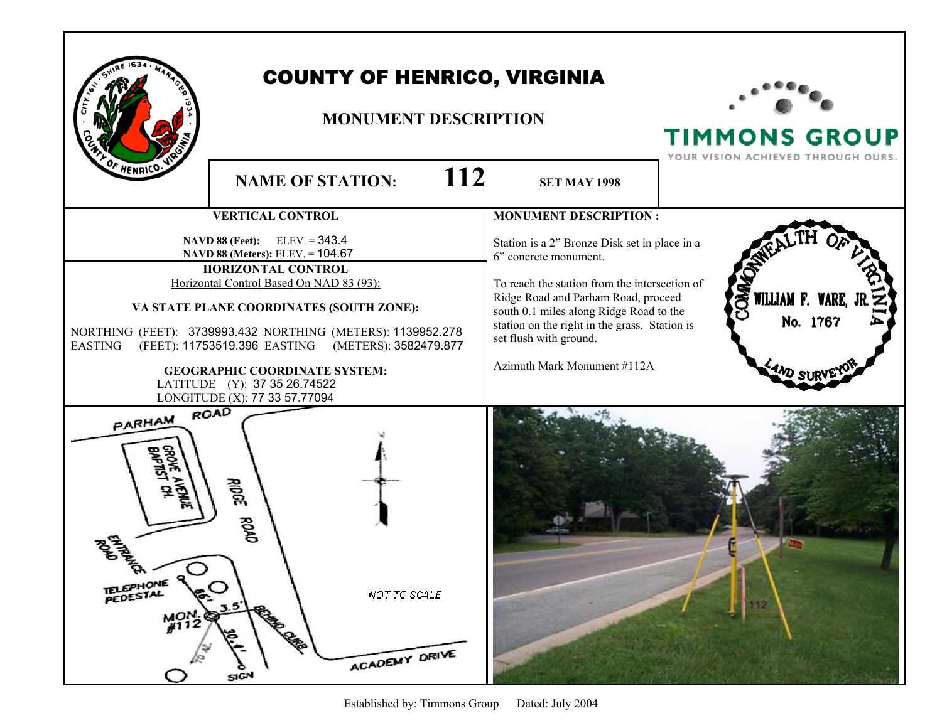|                                                           | <b>COUNTY OF HENRICO, VIRGINIA</b><br><b>MONUMENT DESCRIPTION</b>                                                                                                                                                                                                                                                                                                                                                        |                                                                                                                                                                                                                                                                                                                     | <b>TIMMONS GROUP</b><br>YOUR VISION ACHIEVED THROUGH OURS. |
|-----------------------------------------------------------|--------------------------------------------------------------------------------------------------------------------------------------------------------------------------------------------------------------------------------------------------------------------------------------------------------------------------------------------------------------------------------------------------------------------------|---------------------------------------------------------------------------------------------------------------------------------------------------------------------------------------------------------------------------------------------------------------------------------------------------------------------|------------------------------------------------------------|
| HENRICO.                                                  | 112<br><b>NAME OF STATION:</b>                                                                                                                                                                                                                                                                                                                                                                                           | <b>SET MAY 1998</b>                                                                                                                                                                                                                                                                                                 |                                                            |
|                                                           | <b>VERTICAL CONTROL</b>                                                                                                                                                                                                                                                                                                                                                                                                  | <b>MONUMENT DESCRIPTION:</b>                                                                                                                                                                                                                                                                                        |                                                            |
| <b>EASTING</b>                                            | $ELEV = 343.4$<br><b>NAVD 88 (Feet):</b><br>NAVD 88 (Meters): ELEV. = 104.67<br>HORIZONTAL CONTROL<br>Horizontal Control Based On NAD 83 (93):<br>VA STATE PLANE COORDINATES (SOUTH ZONE):<br>NORTHING (FEET): 3739993.432 NORTHING (METERS): 1139952.278<br>(FEET): 11753519.396 EASTING (METERS): 3582479.877<br><b>GEOGRAPHIC COORDINATE SYSTEM:</b><br>LATITUDE (Y): 37 35 26.74522<br>LONGITUDE (X): 77 33 57.77094 | Station is a 2" Bronze Disk set in place in a<br>6" concrete monument.<br>To reach the station from the intersection of<br>Ridge Road and Parham Road, proceed<br>south 0.1 miles along Ridge Road to the<br>station on the right in the grass. Station is<br>set flush with ground.<br>Azimuth Mark Monument #112A | <b>SR</b><br>WILLIAM F. WARE,<br>No. 1767                  |
| PARHAM ROAD<br>ł٧<br>TELEPHONE 9<br>\$<br>$M^{ON}_{#112}$ | ङ्क<br>ROAD<br>NOT TO SCALE<br><b>Campbelline</b><br>త<br>ACADEMY DRIVE<br>SIGN                                                                                                                                                                                                                                                                                                                                          |                                                                                                                                                                                                                                                                                                                     | 112                                                        |